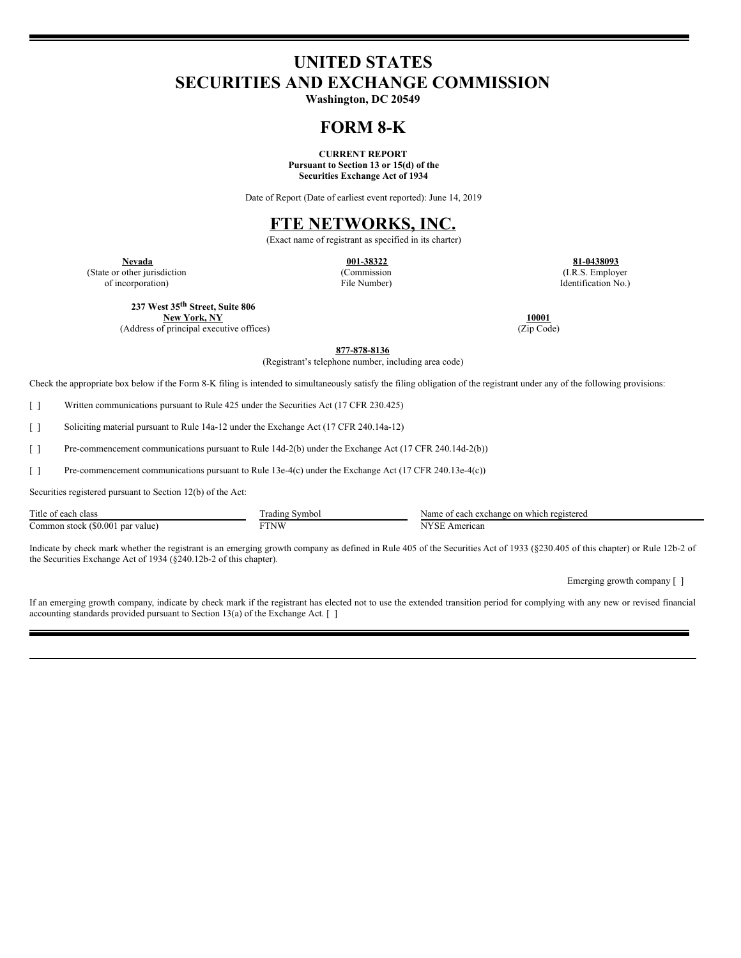# **UNITED STATES SECURITIES AND EXCHANGE COMMISSION**

**Washington, DC 20549**

# **FORM 8-K**

**CURRENT REPORT Pursuant to Section 13 or 15(d) of the Securities Exchange Act of 1934**

Date of Report (Date of earliest event reported): June 14, 2019

# **FTE NETWORKS, INC.**

(Exact name of registrant as specified in its charter)

(State or other jurisdiction of incorporation)

(Commission File Number)

**Nevada 001-38322 81-0438093** (I.R.S. Employer Identification No.)

**237 West 35 th Street, Suite 806**

**New York, NY** 10001 **10001 10001 10001 10001 10001 10001 12ip 10001 12ip 12ip 12ip 12ip 12ip 12ip 12ip 12ip 12ip 12ip 12ip 12ip 12ip 12ip 12ip 12ip 12ip 12ip 12ip 12ip** (Address of principal executive offices)

**877-878-8136**

(Registrant's telephone number, including area code)

Check the appropriate box below if the Form 8-K filing is intended to simultaneously satisfy the filing obligation of the registrant under any of the following provisions:

[ ] Written communications pursuant to Rule 425 under the Securities Act (17 CFR 230.425)

[ ] Soliciting material pursuant to Rule 14a-12 under the Exchange Act (17 CFR 240.14a-12)

[ ] Pre-commencement communications pursuant to Rule 14d-2(b) under the Exchange Act (17 CFR 240.14d-2(b))

[ ] Pre-commencement communications pursuant to Rule 13e-4(c) under the Exchange Act (17 CFR 240.13e-4(c))

Securities registered pursuant to Section 12(b) of the Act:

| Title of each                    | radıng | e of each exchange on which registered       |
|----------------------------------|--------|----------------------------------------------|
| class                            | Symbol | Name                                         |
| Common stock (\$0.001 par value) | FTNW   | $\lambda$ <sub>I</sub> $\lambda$<br>American |

Indicate by check mark whether the registrant is an emerging growth company as defined in Rule 405 of the Securities Act of 1933 (§230.405 of this chapter) or Rule 12b-2 of the Securities Exchange Act of 1934 (§240.12b-2 of this chapter).

Emerging growth company [ ]

If an emerging growth company, indicate by check mark if the registrant has elected not to use the extended transition period for complying with any new or revised financial accounting standards provided pursuant to Section 13(a) of the Exchange Act. [ ]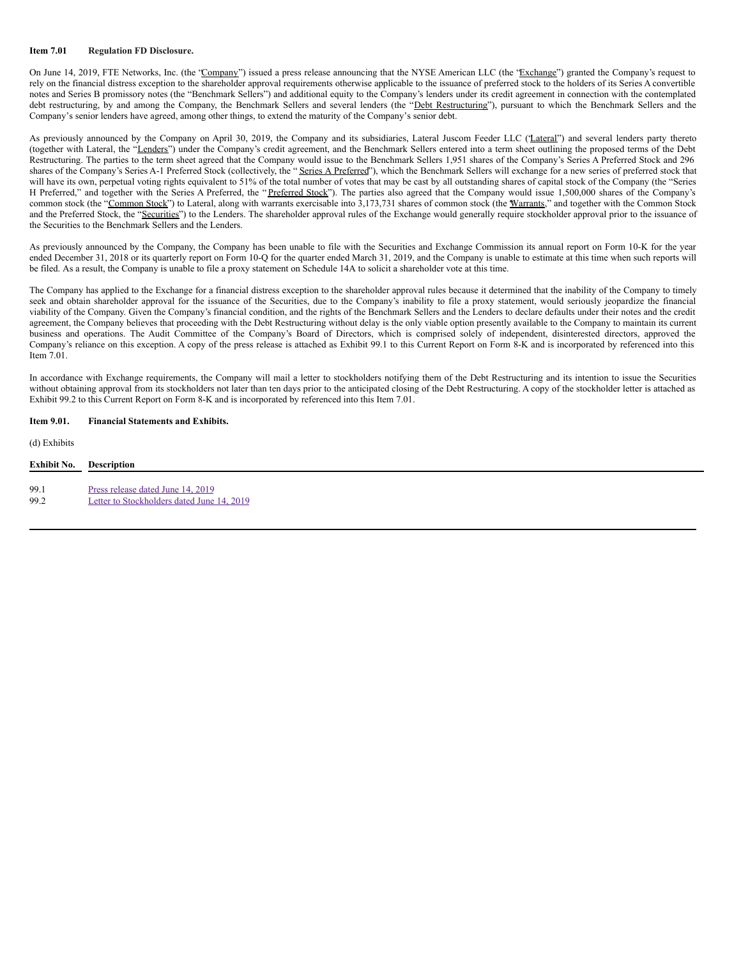#### **Item 7.01 Regulation FD Disclosure.**

On June 14, 2019, FTE Networks, Inc. (the "Company") issued a press release announcing that the NYSE American LLC (the "Exchange") granted the Company's request to rely on the financial distress exception to the shareholder approval requirements otherwise applicable to the issuance of preferred stock to the holders of its Series A convertible notes and Series B promissory notes (the "Benchmark Sellers") and additional equity to the Company's lenders under its credit agreement in connection with the contemplated debt restructuring, by and among the Company, the Benchmark Sellers and several lenders (the "Debt Restructuring"), pursuant to which the Benchmark Sellers and the Company's senior lenders have agreed, among other things, to extend the maturity of the Company's senior debt.

As previously announced by the Company on April 30, 2019, the Company and its subsidiaries, Lateral Juscom Feeder LLC ("Lateral") and several lenders party thereto (together with Lateral, the "Lenders") under the Company's credit agreement, and the Benchmark Sellers entered into a term sheet outlining the proposed terms of the Debt Restructuring. The parties to the term sheet agreed that the Company would issue to the Benchmark Sellers 1,951 shares of the Company's Series A Preferred Stock and 296 shares of the Company's Series A-1 Preferred Stock (collectively, the "Series A Preferred"), which the Benchmark Sellers will exchange for a new series of preferred stock that will have its own, perpetual voting rights equivalent to 51% of the total number of votes that may be cast by all outstanding shares of capital stock of the Company (the "Series H Preferred," and together with the Series A Preferred, the "Preferred Stock"). The parties also agreed that the Company would issue 1,500,000 shares of the Company's common stock (the "Common Stock") to Lateral, along with warrants exercisable into 3,173,731 shares of common stock (the Warrants," and together with the Common Stock and the Preferred Stock, the "Securities") to the Lenders. The shareholder approval rules of the Exchange would generally require stockholder approval prior to the issuance of the Securities to the Benchmark Sellers and the Lenders.

As previously announced by the Company, the Company has been unable to file with the Securities and Exchange Commission its annual report on Form 10-K for the year ended December 31, 2018 or its quarterly report on Form 10-Q for the quarter ended March 31, 2019, and the Company is unable to estimate at this time when such reports will be filed. As a result, the Company is unable to file a proxy statement on Schedule 14A to solicit a shareholder vote at this time.

The Company has applied to the Exchange for a financial distress exception to the shareholder approval rules because it determined that the inability of the Company to timely seek and obtain shareholder approval for the issuance of the Securities, due to the Company's inability to file a proxy statement, would seriously jeopardize the financial viability of the Company. Given the Company's financial condition, and the rights of the Benchmark Sellers and the Lenders to declare defaults under their notes and the credit agreement, the Company believes that proceeding with the Debt Restructuring without delay is the only viable option presently available to the Company to maintain its current business and operations. The Audit Committee of the Company's Board of Directors, which is comprised solely of independent, disinterested directors, approved the Company's reliance on this exception. A copy of the press release is attached as Exhibit 99.1 to this Current Report on Form 8-K and is incorporated by referenced into this Item 7.01.

In accordance with Exchange requirements, the Company will mail a letter to stockholders notifying them of the Debt Restructuring and its intention to issue the Securities without obtaining approval from its stockholders not later than ten days prior to the anticipated closing of the Debt Restructuring. A copy of the stockholder letter is attached as Exhibit 99.2 to this Current Report on Form 8-K and is incorporated by referenced into this Item 7.01.

# **Item 9.01. Financial Statements and Exhibits.**

### (d) Exhibits

| Exhibit No. | <b>Description</b>                         |
|-------------|--------------------------------------------|
| 99.1        | Press release dated June 14, 2019          |
| 99.2        | Letter to Stockholders dated June 14, 2019 |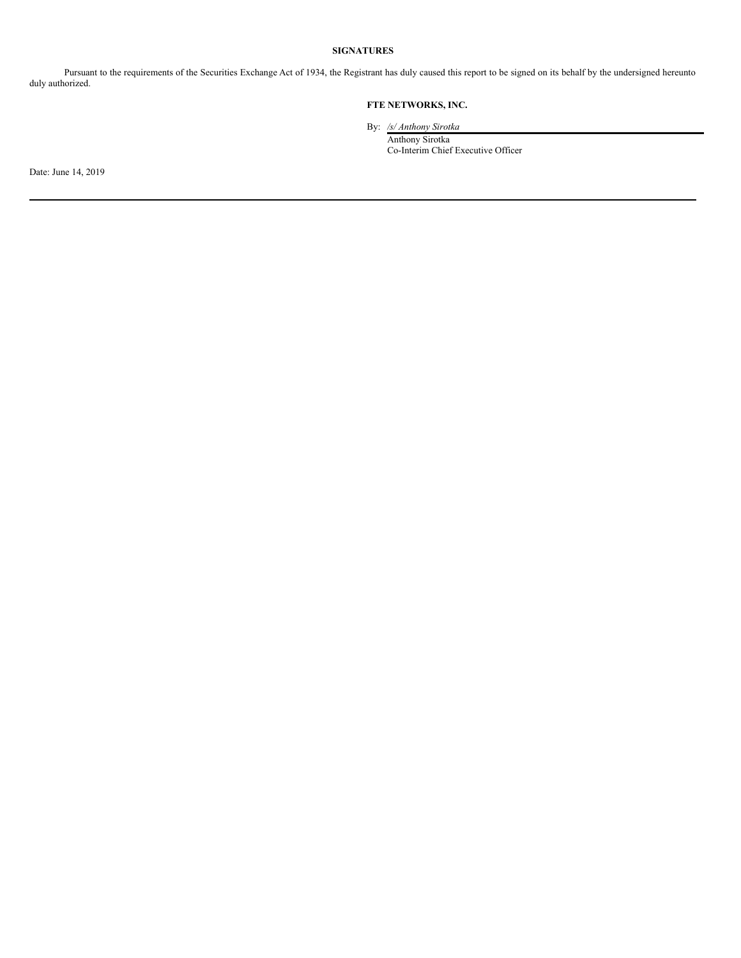# **SIGNATURES**

Pursuant to the requirements of the Securities Exchange Act of 1934, the Registrant has duly caused this report to be signed on its behalf by the undersigned hereunto duly authorized.

# **FTE NETWORKS, INC.**

By: */s/ Anthony Sirotka*

Anthony Sirotka Co-Interim Chief Executive Officer

Date: June 14, 2019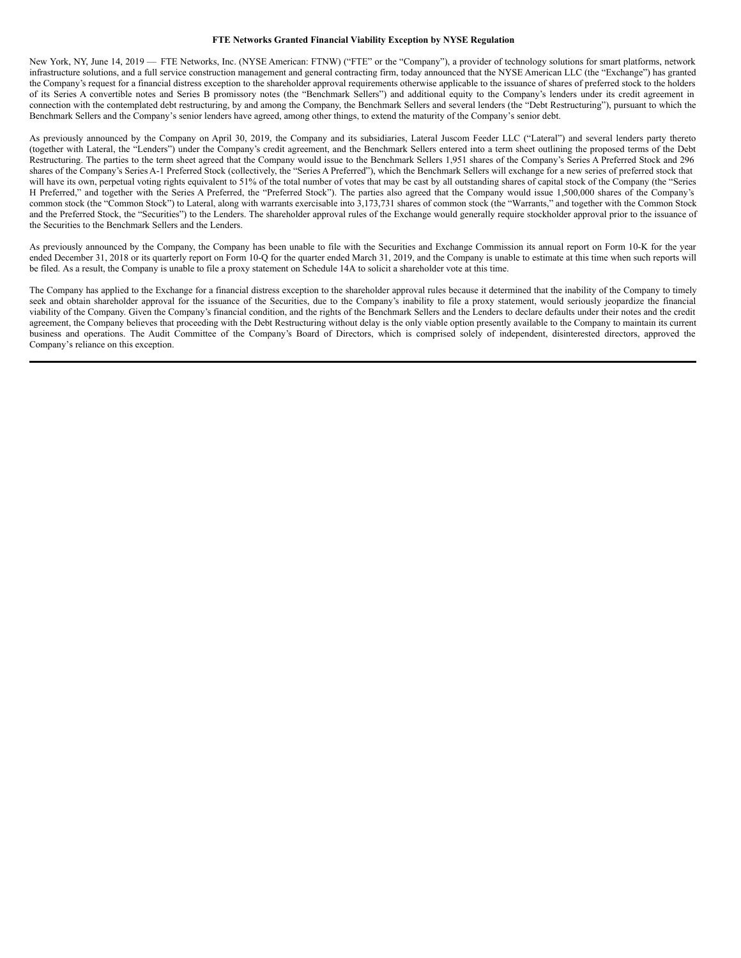#### **FTE Networks Granted Financial Viability Exception by NYSE Regulation**

New York, NY, June 14, 2019 — FTE Networks, Inc. (NYSE American: FTNW) ("FTE" or the "Company"), a provider of technology solutions for smart platforms, network infrastructure solutions, and a full service construction management and general contracting firm, today announced that the NYSE American LLC (the "Exchange") has granted the Company's request for a financial distress exception to the shareholder approval requirements otherwise applicable to the issuance of shares of preferred stock to the holders of its Series A convertible notes and Series B promissory notes (the "Benchmark Sellers") and additional equity to the Company's lenders under its credit agreement in connection with the contemplated debt restructuring, by and among the Company, the Benchmark Sellers and several lenders (the "Debt Restructuring"), pursuant to which the Benchmark Sellers and the Company's senior lenders have agreed, among other things, to extend the maturity of the Company's senior debt.

As previously announced by the Company on April 30, 2019, the Company and its subsidiaries, Lateral Juscom Feeder LLC ("Lateral") and several lenders party thereto (together with Lateral, the "Lenders") under the Company's credit agreement, and the Benchmark Sellers entered into a term sheet outlining the proposed terms of the Debt Restructuring. The parties to the term sheet agreed that the Company would issue to the Benchmark Sellers 1,951 shares of the Company's Series A Preferred Stock and 296 shares of the Company's Series A-1 Preferred Stock (collectively, the "Series A Preferred"), which the Benchmark Sellers will exchange for a new series of preferred stock that will have its own, perpetual voting rights equivalent to 51% of the total number of votes that may be cast by all outstanding shares of capital stock of the Company (the "Series H Preferred," and together with the Series A Preferred, the "Preferred Stock"). The parties also agreed that the Company would issue 1,500,000 shares of the Company's common stock (the "Common Stock") to Lateral, along with warrants exercisable into 3,173,731 shares of common stock (the "Warrants," and together with the Common Stock and the Preferred Stock, the "Securities") to the Lenders. The shareholder approval rules of the Exchange would generally require stockholder approval prior to the issuance of the Securities to the Benchmark Sellers and the Lenders.

As previously announced by the Company, the Company has been unable to file with the Securities and Exchange Commission its annual report on Form 10-K for the year ended December 31, 2018 or its quarterly report on Form 10-Q for the quarter ended March 31, 2019, and the Company is unable to estimate at this time when such reports will be filed. As a result, the Company is unable to file a proxy statement on Schedule 14A to solicit a shareholder vote at this time.

The Company has applied to the Exchange for a financial distress exception to the shareholder approval rules because it determined that the inability of the Company to timely seek and obtain shareholder approval for the issuance of the Securities, due to the Company's inability to file a proxy statement, would seriously jeopardize the financial viability of the Company. Given the Company's financial condition, and the rights of the Benchmark Sellers and the Lenders to declare defaults under their notes and the credit agreement, the Company believes that proceeding with the Debt Restructuring without delay is the only viable option presently available to the Company to maintain its current business and operations. The Audit Committee of the Company's Board of Directors, which is comprised solely of independent, disinterested directors, approved the Company's reliance on this exception.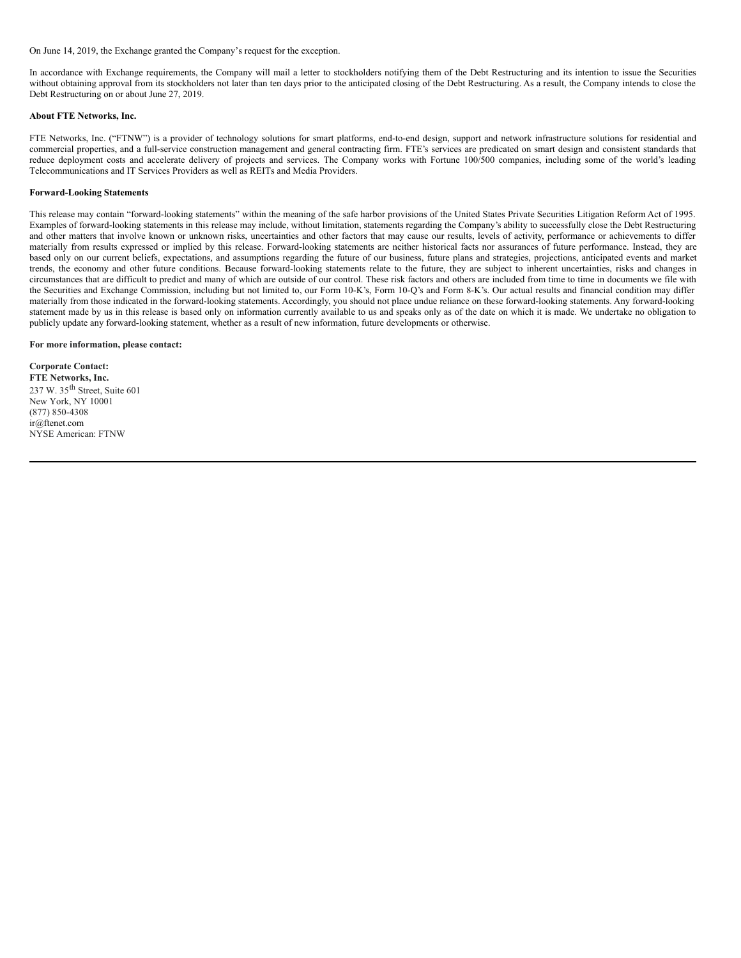### <span id="page-5-0"></span>On June 14, 2019, the Exchange granted the Company's request for the exception.

In accordance with Exchange requirements, the Company will mail a letter to stockholders notifying them of the Debt Restructuring and its intention to issue the Securities without obtaining approval from its stockholders not later than ten days prior to the anticipated closing of the Debt Restructuring. As a result, the Company intends to close the Debt Restructuring on or about June 27, 2019.

#### **About FTE Networks, Inc.**

FTE Networks, Inc. ("FTNW") is a provider of technology solutions for smart platforms, end-to-end design, support and network infrastructure solutions for residential and commercial properties, and a full-service construction management and general contracting firm. FTE's services are predicated on smart design and consistent standards that reduce deployment costs and accelerate delivery of projects and services. The Company works with Fortune 100/500 companies, including some of the world's leading Telecommunications and IT Services Providers as well as REITs and Media Providers.

## **Forward-Looking Statements**

This release may contain "forward-looking statements" within the meaning of the safe harbor provisions of the United States Private Securities Litigation Reform Act of 1995. Examples of forward-looking statements in this release may include, without limitation, statements regarding the Company's ability to successfully close the Debt Restructuring and other matters that involve known or unknown risks, uncertainties and other factors that may cause our results, levels of activity, performance or achievements to differ materially from results expressed or implied by this release. Forward-looking statements are neither historical facts nor assurances of future performance. Instead, they are based only on our current beliefs, expectations, and assumptions regarding the future of our business, future plans and strategies, projections, anticipated events and market trends, the economy and other future conditions. Because forward-looking statements relate to the future, they are subject to inherent uncertainties, risks and changes in circumstances that are difficult to predict and many of which are outside of our control. These risk factors and others are included from time to time in documents we file with the Securities and Exchange Commission, including but not limited to, our Form 10-K's, Form 10-Q's and Form 8-K's. Our actual results and financial condition may differ materially from those indicated in the forward-looking statements. Accordingly, you should not place undue reliance on these forward-looking statements. Any forward-looking statement made by us in this release is based only on information currently available to us and speaks only as of the date on which it is made. We undertake no obligation to publicly update any forward-looking statement, whether as a result of new information, future developments or otherwise.

#### **For more information, please contact:**

**Corporate Contact: FTE Networks, Inc.** 237 W. 35 th Street, Suite 601 New York, NY 10001 (877) 850-4308 ir@ftenet.com NYSE American: FTNW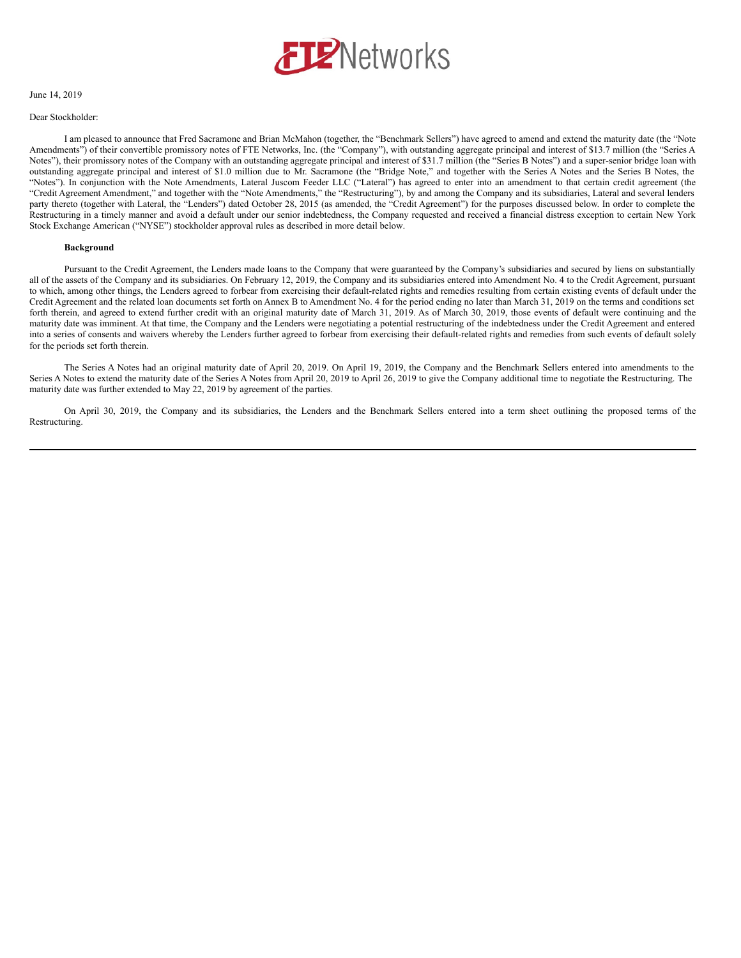

## June 14, 2019

#### Dear Stockholder:

I am pleased to announce that Fred Sacramone and Brian McMahon (together, the "Benchmark Sellers") have agreed to amend and extend the maturity date (the "Note Amendments") of their convertible promissory notes of FTE Networks, Inc. (the "Company"), with outstanding aggregate principal and interest of \$13.7 million (the "Series A Notes"), their promissory notes of the Company with an outstanding aggregate principal and interest of \$31.7 million (the "Series B Notes") and a super-senior bridge loan with outstanding aggregate principal and interest of \$1.0 million due to Mr. Sacramone (the "Bridge Note," and together with the Series A Notes and the Series B Notes, the "Notes"). In conjunction with the Note Amendments, Lateral Juscom Feeder LLC ("Lateral") has agreed to enter into an amendment to that certain credit agreement (the "Credit Agreement Amendment," and together with the "Note Amendments," the "Restructuring"), by and among the Company and its subsidiaries, Lateral and several lenders party thereto (together with Lateral, the "Lenders") dated October 28, 2015 (as amended, the "Credit Agreement") for the purposes discussed below. In order to complete the Restructuring in a timely manner and avoid a default under our senior indebtedness, the Company requested and received a financial distress exception to certain New York Stock Exchange American ("NYSE") stockholder approval rules as described in more detail below.

#### **Background**

Pursuant to the Credit Agreement, the Lenders made loans to the Company that were guaranteed by the Company's subsidiaries and secured by liens on substantially all of the assets of the Company and its subsidiaries. On February 12, 2019, the Company and its subsidiaries entered into Amendment No. 4 to the Credit Agreement, pursuant to which, among other things, the Lenders agreed to forbear from exercising their default-related rights and remedies resulting from certain existing events of default under the Credit Agreement and the related loan documents set forth on Annex B to Amendment No. 4 for the period ending no later than March 31, 2019 on the terms and conditions set forth therein, and agreed to extend further credit with an original maturity date of March 31, 2019. As of March 30, 2019, those events of default were continuing and the maturity date was imminent. At that time, the Company and the Lenders were negotiating a potential restructuring of the indebtedness under the Credit Agreement and entered into a series of consents and waivers whereby the Lenders further agreed to forbear from exercising their default-related rights and remedies from such events of default solely for the periods set forth therein.

The Series A Notes had an original maturity date of April 20, 2019. On April 19, 2019, the Company and the Benchmark Sellers entered into amendments to the Series A Notes to extend the maturity date of the Series A Notes from April 20, 2019 to April 26, 2019 to give the Company additional time to negotiate the Restructuring. The maturity date was further extended to May 22, 2019 by agreement of the parties.

On April 30, 2019, the Company and its subsidiaries, the Lenders and the Benchmark Sellers entered into a term sheet outlining the proposed terms of the Restructuring.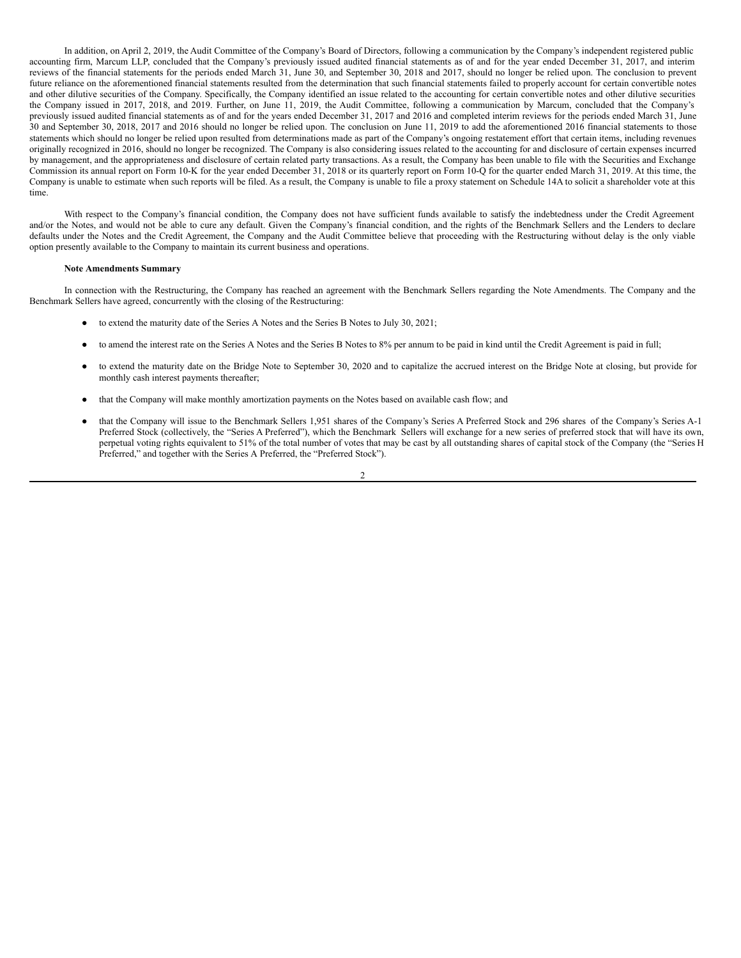In addition, on April 2, 2019, the Audit Committee of the Company's Board of Directors, following a communication by the Company's independent registered public accounting firm, Marcum LLP, concluded that the Company's previously issued audited financial statements as of and for the year ended December 31, 2017, and interim reviews of the financial statements for the periods ended March 31, June 30, and September 30, 2018 and 2017, should no longer be relied upon. The conclusion to prevent future reliance on the aforementioned financial statements resulted from the determination that such financial statements failed to properly account for certain convertible notes and other dilutive securities of the Company. Specifically, the Company identified an issue related to the accounting for certain convertible notes and other dilutive securities the Company issued in 2017, 2018, and 2019. Further, on June 11, 2019, the Audit Committee, following a communication by Marcum, concluded that the Company's previously issued audited financial statements as of and for the years ended December 31, 2017 and 2016 and completed interim reviews for the periods ended March 31, June 30 and September 30, 2018, 2017 and 2016 should no longer be relied upon. The conclusion on June 11, 2019 to add the aforementioned 2016 financial statements to those statements which should no longer be relied upon resulted from determinations made as part of the Company's ongoing restatement effort that certain items, including revenues originally recognized in 2016, should no longer be recognized. The Company is also considering issues related to the accounting for and disclosure of certain expenses incurred by management, and the appropriateness and disclosure of certain related party transactions. As a result, the Company has been unable to file with the Securities and Exchange Commission its annual report on Form 10-K for the year ended December 31, 2018 or its quarterly report on Form 10-Q for the quarter ended March 31, 2019. At this time, the Company is unable to estimate when such reports will be filed. As a result, the Company is unable to file a proxy statement on Schedule 14A to solicit a shareholder vote at this time.

With respect to the Company's financial condition, the Company does not have sufficient funds available to satisfy the indebtedness under the Credit Agreement and/or the Notes, and would not be able to cure any default. Given the Company's financial condition, and the rights of the Benchmark Sellers and the Lenders to declare defaults under the Notes and the Credit Agreement, the Company and the Audit Committee believe that proceeding with the Restructuring without delay is the only viable option presently available to the Company to maintain its current business and operations.

#### **Note Amendments Summary**

In connection with the Restructuring, the Company has reached an agreement with the Benchmark Sellers regarding the Note Amendments. The Company and the Benchmark Sellers have agreed, concurrently with the closing of the Restructuring:

- to extend the maturity date of the Series A Notes and the Series B Notes to July 30, 2021;
- to amend the interest rate on the Series A Notes and the Series B Notes to 8% per annum to be paid in kind until the Credit Agreement is paid in full;
- to extend the maturity date on the Bridge Note to September 30, 2020 and to capitalize the accrued interest on the Bridge Note at closing, but provide for monthly cash interest payments thereafter;
- that the Company will make monthly amortization payments on the Notes based on available cash flow; and
- that the Company will issue to the Benchmark Sellers 1,951 shares of the Company's Series A Preferred Stock and 296 shares of the Company's Series A-1 Preferred Stock (collectively, the "Series A Preferred"), which the Benchmark Sellers will exchange for a new series of preferred stock that will have its own, perpetual voting rights equivalent to 51% of the total number of votes that may be cast by all outstanding shares of capital stock of the Company (the "Series H Preferred," and together with the Series A Preferred, the "Preferred Stock").

2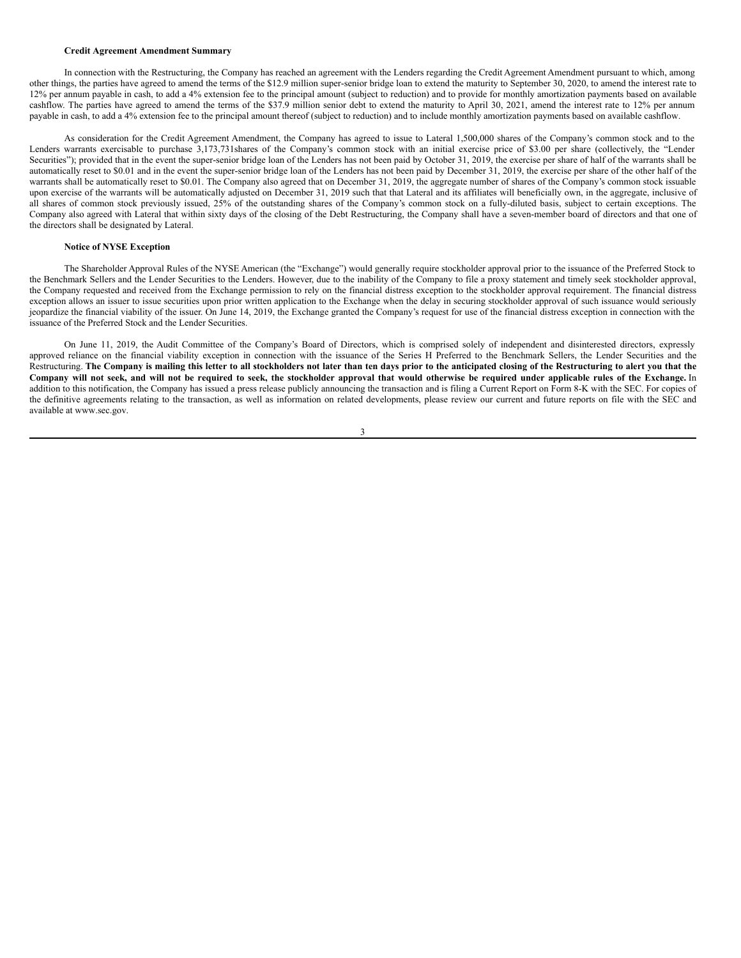### <span id="page-9-0"></span>**Credit Agreement Amendment Summary**

In connection with the Restructuring, the Company has reached an agreement with the Lenders regarding the Credit Agreement Amendment pursuant to which, among other things, the parties have agreed to amend the terms of the \$12.9 million super-senior bridge loan to extend the maturity to September 30, 2020, to amend the interest rate to 12% per annum payable in cash, to add a 4% extension fee to the principal amount (subject to reduction) and to provide for monthly amortization payments based on available cashflow. The parties have agreed to amend the terms of the \$37.9 million senior debt to extend the maturity to April 30, 2021, amend the interest rate to 12% per annum payable in cash, to add a 4% extension fee to the principal amount thereof (subject to reduction) and to include monthly amortization payments based on available cashflow.

As consideration for the Credit Agreement Amendment, the Company has agreed to issue to Lateral 1,500,000 shares of the Company's common stock and to the Lenders warrants exercisable to purchase 3,173,731shares of the Company's common stock with an initial exercise price of \$3.00 per share (collectively, the "Lender Securities"); provided that in the event the super-senior bridge loan of the Lenders has not been paid by October 31, 2019, the exercise per share of half of the warrants shall be automatically reset to \$0.01 and in the event the super-senior bridge loan of the Lenders has not been paid by December 31, 2019, the exercise per share of the other half of the warrants shall be automatically reset to \$0.01. The Company also agreed that on December 31, 2019, the aggregate number of shares of the Company's common stock issuable upon exercise of the warrants will be automatically adjusted on December 31, 2019 such that that Lateral and its affiliates will beneficially own, in the aggregate, inclusive of all shares of common stock previously issued, 25% of the outstanding shares of the Company's common stock on a fully-diluted basis, subject to certain exceptions. The Company also agreed with Lateral that within sixty days of the closing of the Debt Restructuring, the Company shall have a seven-member board of directors and that one of the directors shall be designated by Lateral.

#### **Notice of NYSE Exception**

The Shareholder Approval Rules of the NYSE American (the "Exchange") would generally require stockholder approval prior to the issuance of the Preferred Stock to the Benchmark Sellers and the Lender Securities to the Lenders. However, due to the inability of the Company to file a proxy statement and timely seek stockholder approval, the Company requested and received from the Exchange permission to rely on the financial distress exception to the stockholder approval requirement. The financial distress exception allows an issuer to issue securities upon prior written application to the Exchange when the delay in securing stockholder approval of such issuance would seriously jeopardize the financial viability of the issuer. On June 14, 2019, the Exchange granted the Company's request for use of the financial distress exception in connection with the issuance of the Preferred Stock and the Lender Securities.

On June 11, 2019, the Audit Committee of the Company's Board of Directors, which is comprised solely of independent and disinterested directors, expressly approved reliance on the financial viability exception in connection with the issuance of the Series H Preferred to the Benchmark Sellers, the Lender Securities and the Restructuring. The Company is mailing this letter to all stockholders not later than ten days prior to the anticipated closing of the Restructuring to alert you that the Company will not seek, and will not be required to seek, the stockholder approval that would otherwise be required under applicable rules of the Exchange. In addition to this notification, the Company has issued a press release publicly announcing the transaction and is filing a Current Report on Form 8-K with the SEC. For copies of the definitive agreements relating to the transaction, as well as information on related developments, please review our current and future reports on file with the SEC and available at www.sec.gov.

3